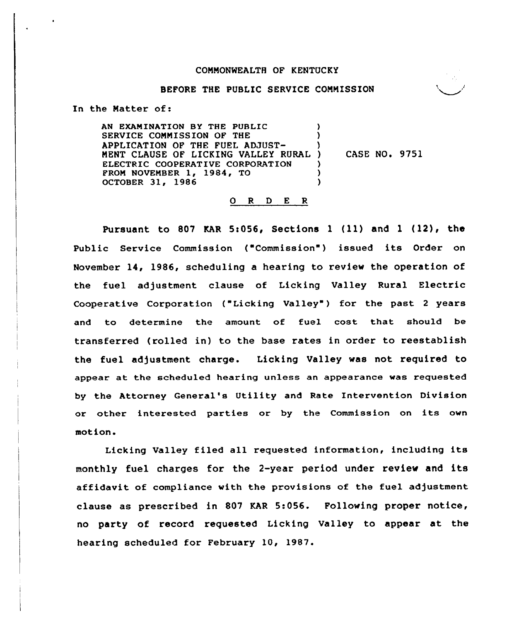## COMMONWEALTH OF KENTUCKY

#### BEFORE THE PUBLIC SERVICE CONNISSION

In the Matter of:

AN EXAMINATION BY THE PUBLIC SERVICE CONMISSION OF THE APPLICATION OF THE FUEL ADJUST-NENT CLAUSE OF LICKING VALLEY RURAL ELECTRIC COOPERATIVE CORPORATION PRON NOVEMBER 1, 1984, TO OCTOBER 31, 1986 ) ) ) CASE NO. 9751 ) )

### 0 <sup>R</sup> <sup>D</sup> E R

Pursuant to 807 KAR 5:056, Sections 1 (11) and 1 (12), the Public Service Commission ("Commission") issued its Order on November 14, 1986, scheduling a hearing to review the operation of the fuel adjustment clause of Licking Valley Rural Electric Cooperative Corporation ("Licking Valley") for the past 2 years and to determine the amount of fuel cost that should be transferred (rolled in) to the base rates in order to reestablish the fuel adjustment charge. Licking Valley was not required to appear at the scheduled hearing unless an appearance was requested by the Attorney General's Utility and Rate Intervention Division or other interested parties or by the Commission on its own motion.

Licking Valley filed all requested information, including its monthly fuel charges for the 2-year period under review and its affidavit of compliance with the provisions of the fuel adjustment clause as prescribed in 807 KAR 5:056. Following proper notice, no party of record requested Licking Valley to appear at the hearing scheduled for February 10, 1987.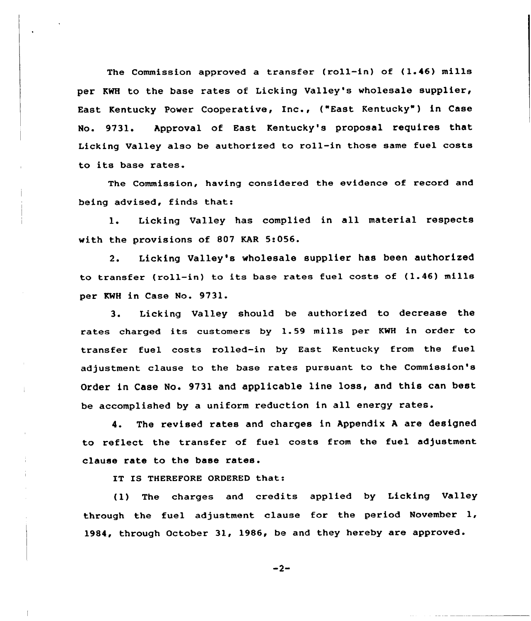The Commission approved a transfer (roll-in) of (1.46) mills per KWH to the base rates of Licking Valley's wholesale supplier, East Kentucky Power Cooperative, Inc., ("East Kentucky") in Case No. 9731. Approval of East Kentucky's proposal requires that Licking Valley also be authorized to roll-in those same fuel costs to its base rates.

The Commission, having considered the evidence of record and being advised, finds that:

1. Licking Valley has complied in all material respects with the provisions of 807 KAR 5:056.

2. Licking Valley's wholesale supplier has been authorized to transfer (roll-in) to its base rates fuel costs of (1.46) mills per KWH in Case No. 9731.

3. Licking Valley should be authorized to decrease the rates charged its customers by 1.59 mills per KWH in order to transfer fuel costs rolled-in by East Kentucky from the fuel adjustment clause to the base rates pursuant to the Commission's Order in Case No. 9731 and applicable line loss, and this can beet be accomplished by a uniform reduction in all energy rates.

4. The revised rates and charges in Appendix <sup>A</sup> are designed to reflect the transfer of fuel costs from the fuel adjustment clause rate to the base rates.

IT IS THEREFORE ORDERED that:

(1) The charges and credits applied by Licking Valley through the fuel adjustment clause for the period November 1, 1984, through October 31, 1986, be and they hereby are approved.

 $-2-$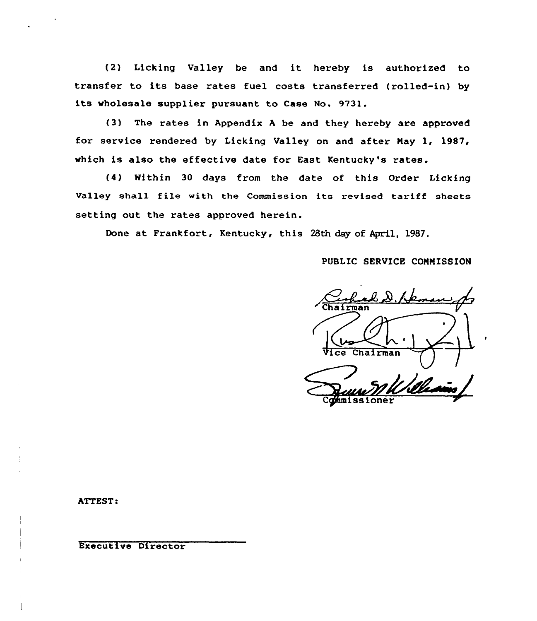{2) Licking Valley be and it hereby is authorized to transfer to its base rates fuel costs transferred (rolled-in) by its wholesale supplier pursuant to Case No. 9731.

(3) The rates in Appendix <sup>A</sup> be and they hereby are approved for service rendered by Licking Valley on and after Nay 1, 1987, which is also the effective date for East Kentucky's rates.

(4) Within 30 days from the date of this Order Licking Valley shall file with the Commission its revised tariff sheets setting out the rates approved herein.

Done at Frankfort, Rentucky, this 28th day of April, 1987.

PUBLIC SERVICE COMNISS ION

Real D. Haman Chairman Cghmissioner

ATTEST:

Executive Director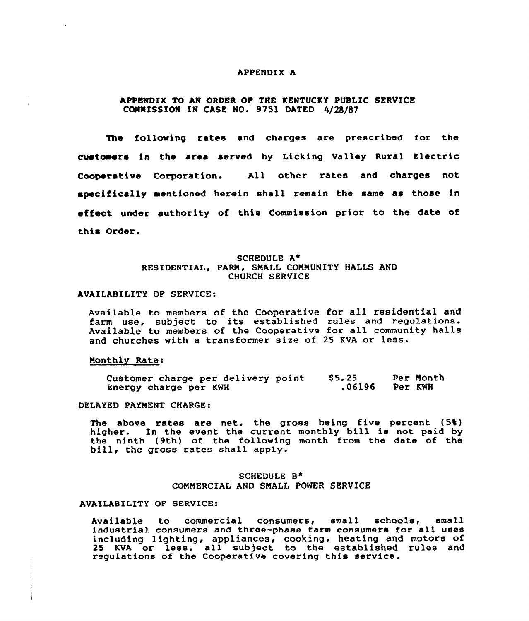## APPENDIX A

# APPENDIX TO AN ORDER OF THE KENTUCKY PUBLIC SERVICE COMMISSION IN CASE NO. 9751 DATED 4/28/87

The following rates and charges are prescribed for the customers in the area served by Licking Valley Rural Electric Cooperative Corporation. All other rates and charges not specifically mentioned herein shall remain the same as those in effect under authority of this Commission prior to the date of this Order.

# SCHEDULE A\* RESIDENTIAL, FARN, SMALL CONNUNITY HALLS AND CHURCH SERVICE

## AVAILABILITY OF SERVICE:

Available to members of the Cooperative for all residential and farm use, subject to its established rules and regulations. Available to members of the Cooperative for all community halls and churches with <sup>a</sup> transformer size of <sup>25</sup> KVA or less.

## Nonthly Ratei

| Customer charge per delivery point | \$5.25 | Per Month |
|------------------------------------|--------|-----------|
| Energy charge per KWH              | .06196 | Per KWH   |

#### DELAYED PAYMENT CHARGE:

The above rates are net, the gross being five percent (5%) higher. In the event the current monthly bill ia not paid by the ninth (9th) of the following month from the date of the bill, the gross rates shall apply.

# SCHEDULE B<sup>\*</sup> COMMERCIAL AND SMALL PONER SERVICE

## AVAILABILITY OF SERVICE:

Available to commercial consumers, small schools, small industrial consumers and three-phase farm consumers for all uses including lighting, appliances, cooking, heating and motors of 25 KVA or less, all subject to the established rules and regulations of the Cooperative covering this service.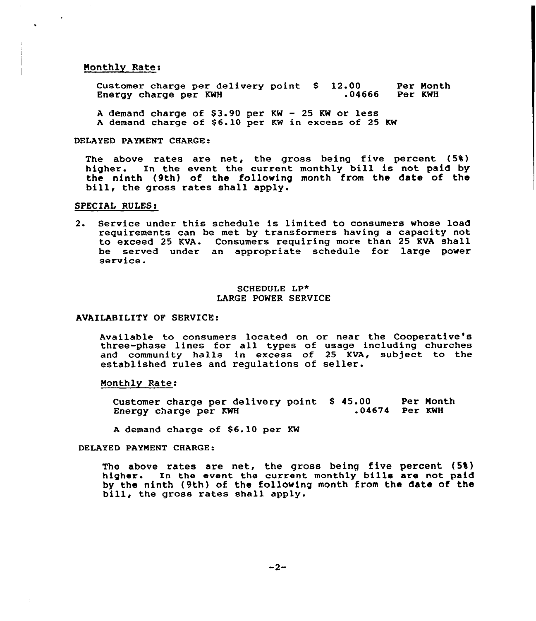## Nonthly Rate:

Customer charge per delivery point \$ 12.00 Per Month<br>Energy charge per KWH .04666 Per KWH Energy charge per KWH

A demand charge of  $$3.90$  per KW - 25 KW or less A demand charge of \$6.10 per KW in excess of 25 KW

## DELAYED PAYMENT CHARGE:

The above rates are net, the gross being five percent (5%) higher. In the event the current monthly bill is not paid by the ninth (9th) of the following month from the date of the bill, the gross rates shall apply.

## SPECIAL RULES:

2. Service under this schedule is limited to consumers whose load requirements can be met by transformers having a capacity not to exceed 25 KVA. Consumers requiring more than 25 KVA shall be served under an appropriate schedule for large power<br>service.

## SCHEDULE LP\* LARGE POWER SERVICE

## AVAILABILITY OF SERVICE:

Available to consumers located on or near the Cooperative's three-phase lines for all types of usage including churches and community halls in excess of 25 KVA, subject to the established rules and regulations of seller.

#### Monthly Rate:

Customer charge per delivery point \$ 45.00 Per Mont Energy charge per KWH .00 Per Month<br>.04674 Per KWH

<sup>A</sup> demand charge of 86.10 per KW

#### DELAYED PAYNENT CHARGE:

The above rates are net, the gross being five percent (5%) higher. In the event the current monthly bills are not paid by the ninth (9th) of the following month from the date of the bill, the gross rates shall apply.